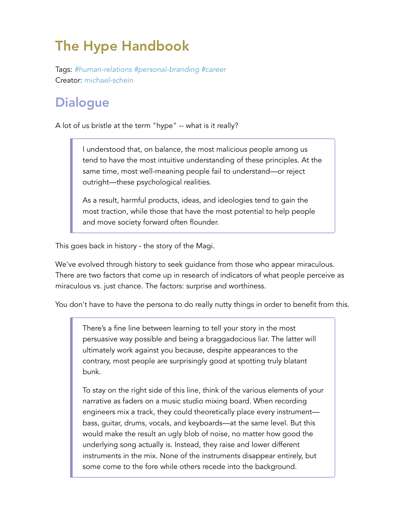## The Hype Handbook

Tags: *#human-relations #personal-branding #career* Creator: michael-schein

## **Dialogue**

A lot of us bristle at the term "hype" -- what is it really?

I understood that, on balance, the most malicious people among us tend to have the most intuitive understanding of these principles. At the same time, most well-meaning people fail to understand—or reject outright—these psychological realities.

As a result, harmful products, ideas, and ideologies tend to gain the most traction, while those that have the most potential to help people and move society forward often flounder.

This goes back in history - the story of the Magi.

We've evolved through history to seek guidance from those who appear miraculous. There are two factors that come up in research of indicators of what people perceive as miraculous vs. just chance. The factors: surprise and worthiness.

You don't have to have the persona to do really nutty things in order to benefit from this.

There's a fine line between learning to tell your story in the most persuasive way possible and being a braggadocious liar. The latter will ultimately work against you because, despite appearances to the contrary, most people are surprisingly good at spotting truly blatant bunk.

To stay on the right side of this line, think of the various elements of your narrative as faders on a music studio mixing board. When recording engineers mix a track, they could theoretically place every instrument bass, guitar, drums, vocals, and keyboards—at the same level. But this would make the result an ugly blob of noise, no matter how good the underlying song actually is. Instead, they raise and lower different instruments in the mix. None of the instruments disappear entirely, but some come to the fore while others recede into the background.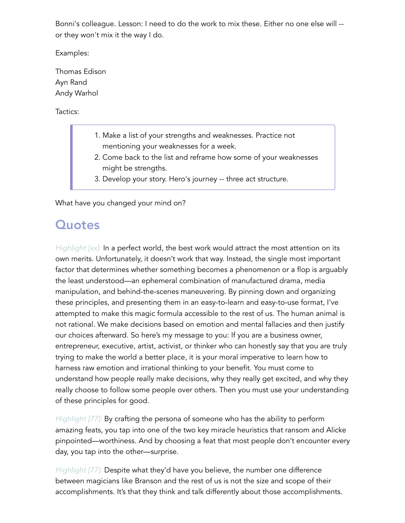Bonni's colleague. Lesson: I need to do the work to mix these. Either no one else will - or they won't mix it the way I do.

Examples:

Thomas Edison Ayn Rand Andy Warhol

Tactics:

- 1. Make a list of your strengths and weaknesses. Practice not mentioning your weaknesses for a week.
- 2. Come back to the list and reframe how some of your weaknesses might be strengths.
- 3. Develop your story. Hero's journey -- three act structure.

What have you changed your mind on?

## **Quotes**

*Highlight* [xx]: In a perfect world, the best work would attract the most attention on its own merits. Unfortunately, it doesn't work that way. Instead, the single most important factor that determines whether something becomes a phenomenon or a flop is arguably the least understood—an ephemeral combination of manufactured drama, media manipulation, and behind-the-scenes maneuvering. By pinning down and organizing these principles, and presenting them in an easy-to-learn and easy-to-use format, I've attempted to make this magic formula accessible to the rest of us. The human animal is not rational. We make decisions based on emotion and mental fallacies and then justify our choices afterward. So here's my message to you: If you are a business owner, entrepreneur, executive, artist, activist, or thinker who can honestly say that you are truly trying to make the world a better place, it is your moral imperative to learn how to harness raw emotion and irrational thinking to your benefit. You must come to understand how people really make decisions, why they really get excited, and why they really choose to follow some people over others. Then you must use your understanding of these principles for good.

*Highlight [77]:* By crafting the persona of someone who has the ability to perform amazing feats, you tap into one of the two key miracle heuristics that ransom and Alicke pinpointed—worthiness. And by choosing a feat that most people don't encounter every day, you tap into the other—surprise.

*Highlight [77]:* Despite what they'd have you believe, the number one difference between magicians like Branson and the rest of us is not the size and scope of their accomplishments. It's that they think and talk differently about those accomplishments.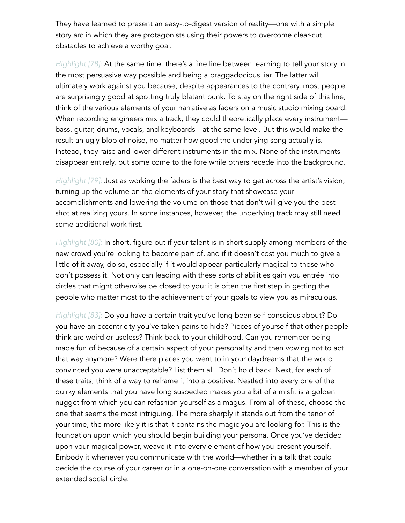They have learned to present an easy-to-digest version of reality—one with a simple story arc in which they are protagonists using their powers to overcome clear-cut obstacles to achieve a worthy goal.

*Highlight [78]:* At the same time, there's a fine line between learning to tell your story in the most persuasive way possible and being a braggadocious liar. The latter will ultimately work against you because, despite appearances to the contrary, most people are surprisingly good at spotting truly blatant bunk. To stay on the right side of this line, think of the various elements of your narrative as faders on a music studio mixing board. When recording engineers mix a track, they could theoretically place every instrument bass, guitar, drums, vocals, and keyboards—at the same level. But this would make the result an ugly blob of noise, no matter how good the underlying song actually is. Instead, they raise and lower different instruments in the mix. None of the instruments disappear entirely, but some come to the fore while others recede into the background.

*Highlight [79]:* Just as working the faders is the best way to get across the artist's vision, turning up the volume on the elements of your story that showcase your accomplishments and lowering the volume on those that don't will give you the best shot at realizing yours. In some instances, however, the underlying track may still need some additional work first.

*Highlight [80]:* In short, figure out if your talent is in short supply among members of the new crowd you're looking to become part of, and if it doesn't cost you much to give a little of it away, do so, especially if it would appear particularly magical to those who don't possess it. Not only can leading with these sorts of abilities gain you entrée into circles that might otherwise be closed to you; it is often the first step in getting the people who matter most to the achievement of your goals to view you as miraculous.

*Highlight [83]:* Do you have a certain trait you've long been self-conscious about? Do you have an eccentricity you've taken pains to hide? Pieces of yourself that other people think are weird or useless? Think back to your childhood. Can you remember being made fun of because of a certain aspect of your personality and then vowing not to act that way anymore? Were there places you went to in your daydreams that the world convinced you were unacceptable? List them all. Don't hold back. Next, for each of these traits, think of a way to reframe it into a positive. Nestled into every one of the quirky elements that you have long suspected makes you a bit of a misfit is a golden nugget from which you can refashion yourself as a magus. From all of these, choose the one that seems the most intriguing. The more sharply it stands out from the tenor of your time, the more likely it is that it contains the magic you are looking for. This is the foundation upon which you should begin building your persona. Once you've decided upon your magical power, weave it into every element of how you present yourself. Embody it whenever you communicate with the world—whether in a talk that could decide the course of your career or in a one-on-one conversation with a member of your extended social circle.